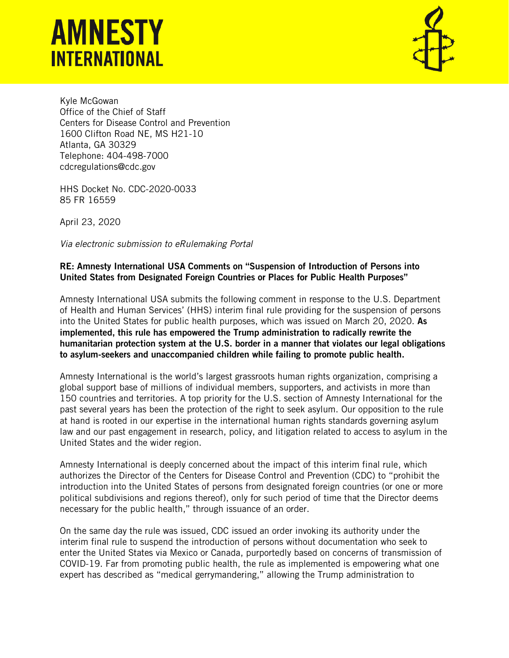# **AMNESTY INTERNATIONAL**



Kyle McGowan Office of the Chief of Staff Centers for Disease Control and Prevention 1600 Clifton Road NE, MS H21-10 Atlanta, GA 30329 Telephone: 404-498-7000 cdcregulations@cdc.gov

HHS Docket No. CDC-2020-0033 85 FR 16559

April 23, 2020

*Via electronic submission to eRulemaking Portal*

## RE: Amnesty International USA Comments on "Suspension of Introduction of Persons into United States from Designated Foreign Countries or Places for Public Health Purposes"

Amnesty International USA submits the following comment in response to the U.S. Department of Health and Human Services' (HHS) interim final rule providing for the suspension of persons into the United States for public health purposes, which was issued on March 20, 2020. As implemented, this rule has empowered the Trump administration to radically rewrite the humanitarian protection system at the U.S. border in a manner that violates our legal obligations to asylum-seekers and unaccompanied children while failing to promote public health.

Amnesty International is the world's largest grassroots human rights organization, comprising a global support base of millions of individual members, supporters, and activists in more than 150 countries and territories. A top priority for the U.S. section of Amnesty International for the past several years has been the protection of the right to seek asylum. Our opposition to the rule at hand is rooted in our expertise in the international human rights standards governing asylum law and our past engagement in research, policy, and litigation related to access to asylum in the United States and the wider region.

Amnesty International is deeply concerned about the impact of this interim final rule, which authorizes the Director of the Centers for Disease Control and Prevention (CDC) to "prohibit the introduction into the United States of persons from designated foreign countries (or one or more political subdivisions and regions thereof), only for such period of time that the Director deems necessary for the public health," through issuance of an order.

On the same day the rule was issued, CDC issued an order invoking its authority under the interim final rule to suspend the introduction of persons without documentation who seek to enter the United States via Mexico or Canada, purportedly based on concerns of transmission of COVID-19. Far from promoting public health, the rule as implemented is empowering what one expert has described as "medical gerrymandering," allowing the Trump administration to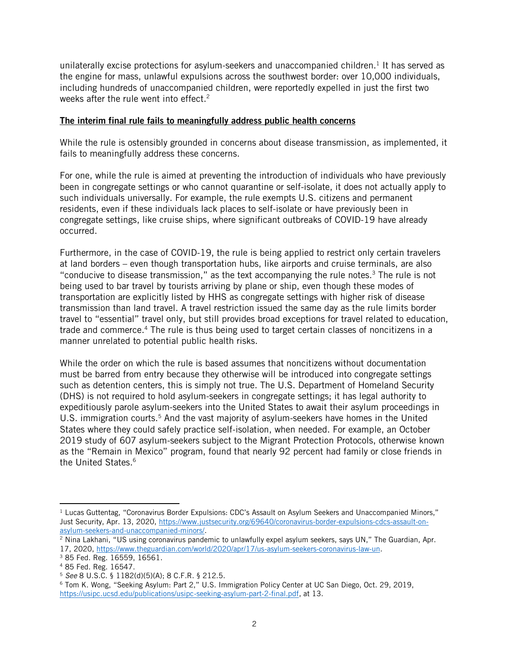unilaterally excise protections for asylum-seekers and unaccompanied children.<sup>1</sup> It has served as the engine for mass, unlawful expulsions across the southwest border: over 10,000 individuals, including hundreds of unaccompanied children, were reportedly expelled in just the first two weeks after the rule went into effect.<sup>2</sup>

### The interim final rule fails to meaningfully address public health concerns

While the rule is ostensibly grounded in concerns about disease transmission, as implemented, it fails to meaningfully address these concerns.

For one, while the rule is aimed at preventing the introduction of individuals who have previously been in congregate settings or who cannot quarantine or self-isolate, it does not actually apply to such individuals universally. For example, the rule exempts U.S. citizens and permanent residents, even if these individuals lack places to self-isolate or have previously been in congregate settings, like cruise ships, where significant outbreaks of COVID-19 have already occurred.

Furthermore, in the case of COVID-19, the rule is being applied to restrict only certain travelers at land borders – even though transportation hubs, like airports and cruise terminals, are also "conducive to disease transmission," as the text accompanying the rule notes. $3$  The rule is not being used to bar travel by tourists arriving by plane or ship, even though these modes of transportation are explicitly listed by HHS as congregate settings with higher risk of disease transmission than land travel. A travel restriction issued the same day as the rule limits border travel to "essential" travel only, but still provides broad exceptions for travel related to education, trade and commerce.<sup>4</sup> The rule is thus being used to target certain classes of noncitizens in a manner unrelated to potential public health risks.

While the order on which the rule is based assumes that noncitizens without documentation must be barred from entry because they otherwise will be introduced into congregate settings such as detention centers, this is simply not true. The U.S. Department of Homeland Security (DHS) is not required to hold asylum-seekers in congregate settings; it has legal authority to expeditiously parole asylum-seekers into the United States to await their asylum proceedings in U.S. immigration courts.<sup>5</sup> And the vast majority of asylum-seekers have homes in the United States where they could safely practice self-isolation, when needed. For example, an October 2019 study of 607 asylum-seekers subject to the Migrant Protection Protocols, otherwise known as the "Remain in Mexico" program, found that nearly 92 percent had family or close friends in the United States.<sup>6</sup>

 $1$  Lucas Guttentag, "Coronavirus Border Expulsions: CDC's Assault on Asylum Seekers and Unaccompanied Minors," Just Security, Apr. 13, 2020, [https://www.justsecurity.org/69640/coronavirus-border-expulsions-cdcs-assault-on](https://www.justsecurity.org/69640/coronavirus-border-expulsions-cdcs-assault-on-asylum-seekers-and-unaccompanied-minors/)[asylum-seekers-and-unaccompanied-minors/.](https://www.justsecurity.org/69640/coronavirus-border-expulsions-cdcs-assault-on-asylum-seekers-and-unaccompanied-minors/)

<sup>2</sup> Nina Lakhani, "US using coronavirus pandemic to unlawfully expel asylum seekers, says UN," The Guardian, Apr. 17, 2020, [https://www.theguardian.com/world/2020/apr/17/us-asylum-seekers-coronavirus-law-un.](https://www.theguardian.com/world/2020/apr/17/us-asylum-seekers-coronavirus-law-un)

<sup>3</sup> 85 Fed. Reg. 16559, 16561.

<sup>4</sup> 85 Fed. Reg. 16547.

<sup>5</sup> *See* 8 U.S.C. § 1182(d)(5)(A); 8 C.F.R. § 212.5.

<sup>6</sup> Tom K. Wong, "Seeking Asylum: Part 2," U.S. Immigration Policy Center at UC San Diego, Oct. 29, 2019, [https://usipc.ucsd.edu/publications/usipc-seeking-asylum-part-2-final.pdf,](https://usipc.ucsd.edu/publications/usipc-seeking-asylum-part-2-final.pdf) at 13.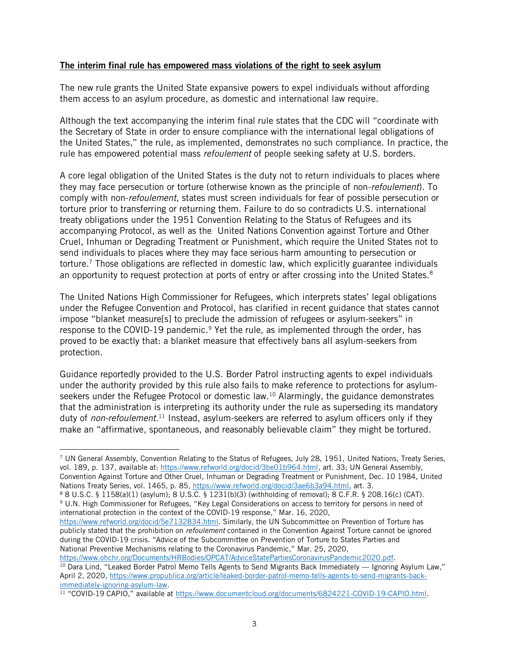#### The interim final rule has empowered mass violations of the right to seek asylum

The new rule grants the United State expansive powers to expel individuals without affording them access to an asylum procedure, as domestic and international law require.

Although the text accompanying the interim final rule states that the CDC will "coordinate with the Secretary of State in order to ensure compliance with the international legal obligations of the United States," the rule, as implemented, demonstrates no such compliance. In practice, the rule has empowered potential mass *refoulement* of people seeking safety at U.S. borders.

A core legal obligation of the United States is the duty not to return individuals to places where they may face persecution or torture (otherwise known as the principle of non-*refoulement*). To comply with non-*refoulement*, states must screen individuals for fear of possible persecution or torture prior to transferring or returning them. Failure to do so contradicts U.S. international treaty obligations under the 1951 Convention Relating to the Status of Refugees and its accompanying Protocol, as well as the United Nations Convention against Torture and Other Cruel, Inhuman or Degrading Treatment or Punishment, which require the United States not to send individuals to places where they may face serious harm amounting to persecution or torture. <sup>7</sup> Those obligations are reflected in domestic law, which explicitly guarantee individuals an opportunity to request protection at ports of entry or after crossing into the United States.<sup>8</sup>

The United Nations High Commissioner for Refugees, which interprets states' legal obligations under the Refugee Convention and Protocol, has clarified in recent guidance that states cannot impose "blanket measure[s] to preclude the admission of refugees or asylum-seekers" in response to the COVID-19 pandemic.<sup>9</sup> Yet the rule, as implemented through the order, has proved to be exactly that: a blanket measure that effectively bans all asylum-seekers from protection.

Guidance reportedly provided to the U.S. Border Patrol instructing agents to expel individuals under the authority provided by this rule also fails to make reference to protections for asylumseekers under the Refugee Protocol or domestic law.<sup>10</sup> Alarmingly, the guidance demonstrates that the administration is interpreting its authority under the rule as superseding its mandatory duty of *non-refoulement*. <sup>11</sup> Instead, asylum-seekers are referred to asylum officers only if they make an "affirmative, spontaneous, and reasonably believable claim" they might be tortured.

<sup>7</sup> UN General Assembly, Convention Relating to the Status of Refugees, July 28, 1951, United Nations, Treaty Series, vol. 189, p. 137, available at: [https://www.refworld.org/docid/3be01b964.html,](https://www.refworld.org/docid/3be01b964.html) art. 33; UN General Assembly, Convention Against Torture and Other Cruel, Inhuman or Degrading Treatment or Punishment, Dec. 10 1984, United Nations Treaty Series, vol. 1465, p. 85, [https://www.refworld.org/docid/3ae6b3a94.html,](https://www.refworld.org/docid/3ae6b3a94.html) art. 3.

<sup>8</sup> 8 U.S.C. § 1158(a)(1) (asylum); 8 U.S.C. § 1231(b)(3) (withholding of removal); 8 C.F.R. § 208.16(c) (CAT). <sup>9</sup> U.N. High Commissioner for Refugees, "Key Legal Considerations on access to territory for persons in need of international protection in the context of the COVID-19 response," Mar. 16, 2020,

[https://www.refworld.org/docid/5e7132834.html.](https://www.refworld.org/docid/5e7132834.html) Similarly, the UN Subcommittee on Prevention of Torture has publicly stated that the prohibition on *refoulement* contained in the Convention Against Torture cannot be ignored during the COVID-19 crisis. "Advice of the Subcommittee on Prevention of Torture to States Parties and National Preventive Mechanisms relating to the Coronavirus Pandemic," Mar. 25, 2020,

[https://www.ohchr.org/Documents/HRBodies/OPCAT/AdviceStatePartiesCoronavirusPandemic2020.pdf.](https://www.ohchr.org/Documents/HRBodies/OPCAT/AdviceStatePartiesCoronavirusPandemic2020.pdf)

<sup>&</sup>lt;sup>10</sup> Dara Lind, "Leaked Border Patrol Memo Tells Agents to Send Migrants Back Immediately — Ignoring Asylum Law," April 2, 2020[, https://www.propublica.org/article/leaked-border-patrol-memo-tells-agents-to-send-migrants-back](https://www.propublica.org/article/leaked-border-patrol-memo-tells-agents-to-send-migrants-back-immediately-ignoring-asylum-law)[immediately-ignoring-asylum-law.](https://www.propublica.org/article/leaked-border-patrol-memo-tells-agents-to-send-migrants-back-immediately-ignoring-asylum-law)

<sup>11</sup> "COVID-19 CAPIO," available at [https://www.documentcloud.org/documents/6824221-COVID-19-CAPIO.html.](https://www.documentcloud.org/documents/6824221-COVID-19-CAPIO.html)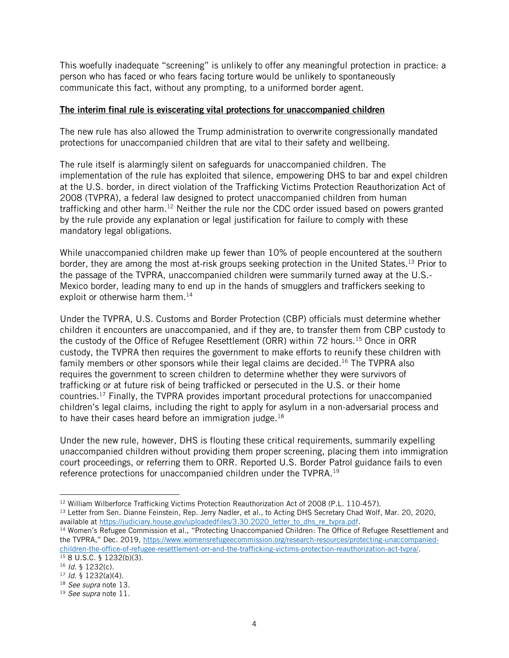This woefully inadequate "screening" is unlikely to offer any meaningful protection in practice: a person who has faced or who fears facing torture would be unlikely to spontaneously communicate this fact, without any prompting, to a uniformed border agent.

### The interim final rule is eviscerating vital protections for unaccompanied children

The new rule has also allowed the Trump administration to overwrite congressionally mandated protections for unaccompanied children that are vital to their safety and wellbeing.

The rule itself is alarmingly silent on safeguards for unaccompanied children. The implementation of the rule has exploited that silence, empowering DHS to bar and expel children at the U.S. border, in direct violation of the Trafficking Victims Protection Reauthorization Act of 2008 (TVPRA), a federal law designed to protect unaccompanied children from human trafficking and other harm.<sup>12</sup> Neither the rule nor the CDC order issued based on powers granted by the rule provide any explanation or legal justification for failure to comply with these mandatory legal obligations.

While unaccompanied children make up fewer than 10% of people encountered at the southern border, they are among the most at-risk groups seeking protection in the United States.<sup>13</sup> Prior to the passage of the TVPRA, unaccompanied children were summarily turned away at the U.S.- Mexico border, leading many to end up in the hands of smugglers and traffickers seeking to exploit or otherwise harm them.<sup>14</sup>

Under the TVPRA, U.S. Customs and Border Protection (CBP) officials must determine whether children it encounters are unaccompanied, and if they are, to transfer them from CBP custody to the custody of the Office of Refugee Resettlement (ORR) within 72 hours.<sup>15</sup> Once in ORR custody, the TVPRA then requires the government to make efforts to reunify these children with family members or other sponsors while their legal claims are decided.<sup>16</sup> The TVPRA also requires the government to screen children to determine whether they were survivors of trafficking or at future risk of being trafficked or persecuted in the U.S. or their home countries.<sup>17</sup> Finally, the TVPRA provides important procedural protections for unaccompanied children's legal claims, including the right to apply for asylum in a non-adversarial process and to have their cases heard before an immigration judge.<sup>18</sup>

Under the new rule, however, DHS is flouting these critical requirements, summarily expelling unaccompanied children without providing them proper screening, placing them into immigration court proceedings, or referring them to ORR. Reported U.S. Border Patrol guidance fails to even reference protections for unaccompanied children under the TVPRA.<sup>19</sup>

<sup>&</sup>lt;sup>12</sup> William Wilberforce Trafficking Victims Protection Reauthorization Act of 2008 (P.L. 110-457).

<sup>&</sup>lt;sup>13</sup> Letter from Sen. Dianne Feinstein, Rep. Jerry Nadler, et al., to Acting DHS Secretary Chad Wolf, Mar. 20, 2020, available at https://judiciary.house.gov/uploadedfiles/3.30.2020 letter to dhs re tvpra.pdf.

<sup>&</sup>lt;sup>14</sup> Women's Refugee Commission et al., "Protecting Unaccompanied Children: The Office of Refugee Resettlement and the TVPRA," Dec. 2019, [https://www.womensrefugeecommission.org/research-resources/protecting-unaccompanied](https://www.womensrefugeecommission.org/research-resources/protecting-unaccompanied-children-the-office-of-refugee-resettlement-orr-and-the-trafficking-victims-protection-reauthorization-act-tvpra/)[children-the-office-of-refugee-resettlement-orr-and-the-trafficking-victims-protection-reauthorization-act-tvpra/.](https://www.womensrefugeecommission.org/research-resources/protecting-unaccompanied-children-the-office-of-refugee-resettlement-orr-and-the-trafficking-victims-protection-reauthorization-act-tvpra/)  $158$  U.S.C. § 1232(b)(3).

<sup>16</sup> *Id.* § 1232(c).

<sup>17</sup> *Id.* § 1232(a)(4).

<sup>18</sup> *See supra* note 13.

<sup>19</sup> *See supra* note 11.